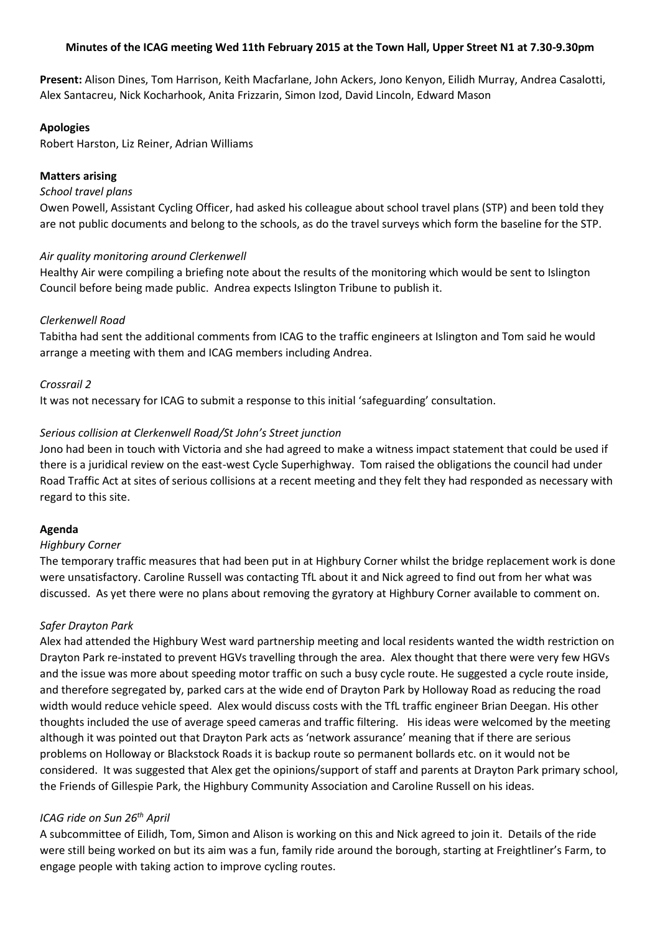## **Minutes of the ICAG meeting Wed 11th February 2015 at the Town Hall, Upper Street N1 at 7.30-9.30pm**

**Present:** Alison Dines, Tom Harrison, Keith Macfarlane, John Ackers, Jono Kenyon, Eilidh Murray, Andrea Casalotti, Alex Santacreu, Nick Kocharhook, Anita Frizzarin, Simon Izod, David Lincoln, Edward Mason

### **Apologies**

Robert Harston, Liz Reiner, Adrian Williams

## **Matters arising**

### *School travel plans*

Owen Powell, Assistant Cycling Officer, had asked his colleague about school travel plans (STP) and been told they are not public documents and belong to the schools, as do the travel surveys which form the baseline for the STP.

### *Air quality monitoring around Clerkenwell*

Healthy Air were compiling a briefing note about the results of the monitoring which would be sent to Islington Council before being made public. Andrea expects Islington Tribune to publish it.

## *Clerkenwell Road*

Tabitha had sent the additional comments from ICAG to the traffic engineers at Islington and Tom said he would arrange a meeting with them and ICAG members including Andrea.

### *Crossrail 2*

It was not necessary for ICAG to submit a response to this initial 'safeguarding' consultation.

## *Serious collision at Clerkenwell Road/St John's Street junction*

Jono had been in touch with Victoria and she had agreed to make a witness impact statement that could be used if there is a juridical review on the east-west Cycle Superhighway. Tom raised the obligations the council had under Road Traffic Act at sites of serious collisions at a recent meeting and they felt they had responded as necessary with regard to this site.

### **Agenda**

### *Highbury Corner*

The temporary traffic measures that had been put in at Highbury Corner whilst the bridge replacement work is done were unsatisfactory. Caroline Russell was contacting TfL about it and Nick agreed to find out from her what was discussed. As yet there were no plans about removing the gyratory at Highbury Corner available to comment on.

### *Safer Drayton Park*

Alex had attended the Highbury West ward partnership meeting and local residents wanted the width restriction on Drayton Park re-instated to prevent HGVs travelling through the area. Alex thought that there were very few HGVs and the issue was more about speeding motor traffic on such a busy cycle route. He suggested a cycle route inside, and therefore segregated by, parked cars at the wide end of Drayton Park by Holloway Road as reducing the road width would reduce vehicle speed. Alex would discuss costs with the TfL traffic engineer Brian Deegan. His other thoughts included the use of average speed cameras and traffic filtering. His ideas were welcomed by the meeting although it was pointed out that Drayton Park acts as 'network assurance' meaning that if there are serious problems on Holloway or Blackstock Roads it is backup route so permanent bollards etc. on it would not be considered. It was suggested that Alex get the opinions/support of staff and parents at Drayton Park primary school, the Friends of Gillespie Park, the Highbury Community Association and Caroline Russell on his ideas.

# *ICAG ride on Sun 26th April*

A subcommittee of Eilidh, Tom, Simon and Alison is working on this and Nick agreed to join it. Details of the ride were still being worked on but its aim was a fun, family ride around the borough, starting at Freightliner's Farm, to engage people with taking action to improve cycling routes.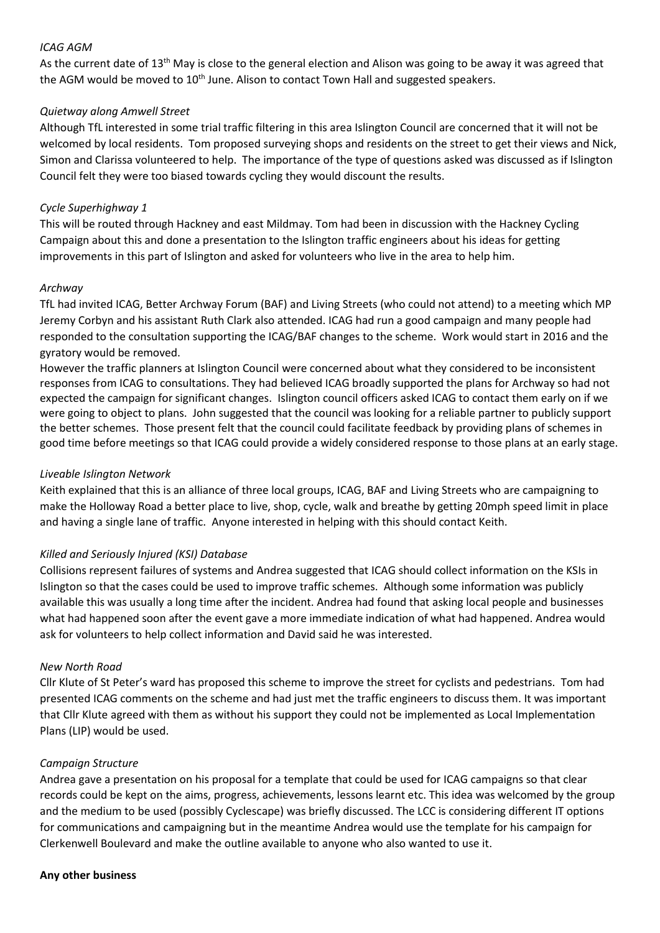## *ICAG AGM*

As the current date of 13<sup>th</sup> May is close to the general election and Alison was going to be away it was agreed that the AGM would be moved to  $10<sup>th</sup>$  June. Alison to contact Town Hall and suggested speakers.

## *Quietway along Amwell Street*

Although TfL interested in some trial traffic filtering in this area Islington Council are concerned that it will not be welcomed by local residents. Tom proposed surveying shops and residents on the street to get their views and Nick, Simon and Clarissa volunteered to help. The importance of the type of questions asked was discussed as if Islington Council felt they were too biased towards cycling they would discount the results.

## *Cycle Superhighway 1*

This will be routed through Hackney and east Mildmay. Tom had been in discussion with the Hackney Cycling Campaign about this and done a presentation to the Islington traffic engineers about his ideas for getting improvements in this part of Islington and asked for volunteers who live in the area to help him.

## *Archway*

TfL had invited ICAG, Better Archway Forum (BAF) and Living Streets (who could not attend) to a meeting which MP Jeremy Corbyn and his assistant Ruth Clark also attended. ICAG had run a good campaign and many people had responded to the consultation supporting the ICAG/BAF changes to the scheme. Work would start in 2016 and the gyratory would be removed.

However the traffic planners at Islington Council were concerned about what they considered to be inconsistent responses from ICAG to consultations. They had believed ICAG broadly supported the plans for Archway so had not expected the campaign for significant changes. Islington council officers asked ICAG to contact them early on if we were going to object to plans. John suggested that the council was looking for a reliable partner to publicly support the better schemes. Those present felt that the council could facilitate feedback by providing plans of schemes in good time before meetings so that ICAG could provide a widely considered response to those plans at an early stage.

## *Liveable Islington Network*

Keith explained that this is an alliance of three local groups, ICAG, BAF and Living Streets who are campaigning to make the Holloway Road a better place to live, shop, cycle, walk and breathe by getting 20mph speed limit in place and having a single lane of traffic. Anyone interested in helping with this should contact Keith.

# *Killed and Seriously Injured (KSI) Database*

Collisions represent failures of systems and Andrea suggested that ICAG should collect information on the KSIs in Islington so that the cases could be used to improve traffic schemes. Although some information was publicly available this was usually a long time after the incident. Andrea had found that asking local people and businesses what had happened soon after the event gave a more immediate indication of what had happened. Andrea would ask for volunteers to help collect information and David said he was interested.

### *New North Road*

Cllr Klute of St Peter's ward has proposed this scheme to improve the street for cyclists and pedestrians. Tom had presented ICAG comments on the scheme and had just met the traffic engineers to discuss them. It was important that Cllr Klute agreed with them as without his support they could not be implemented as Local Implementation Plans (LIP) would be used.

### *Campaign Structure*

Andrea gave a presentation on his proposal for a template that could be used for ICAG campaigns so that clear records could be kept on the aims, progress, achievements, lessons learnt etc. This idea was welcomed by the group and the medium to be used (possibly Cyclescape) was briefly discussed. The LCC is considering different IT options for communications and campaigning but in the meantime Andrea would use the template for his campaign for Clerkenwell Boulevard and make the outline available to anyone who also wanted to use it.

### **Any other business**